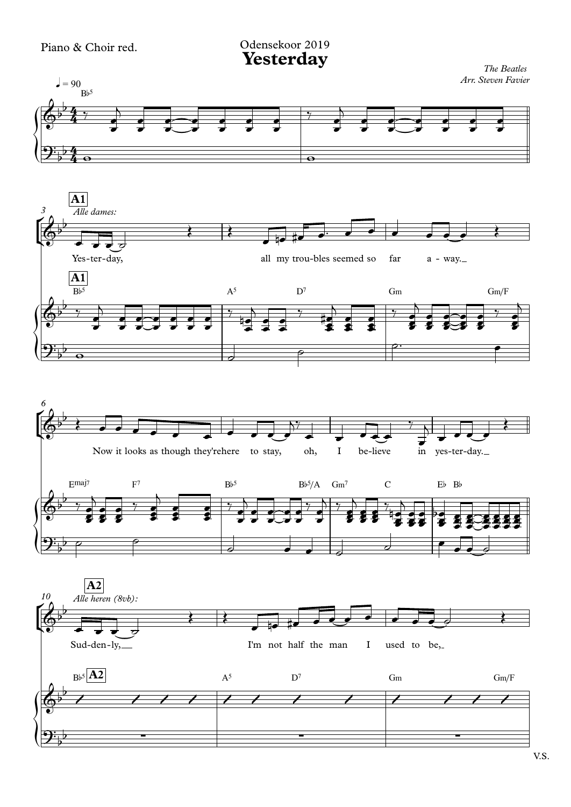Odensekoor 2019

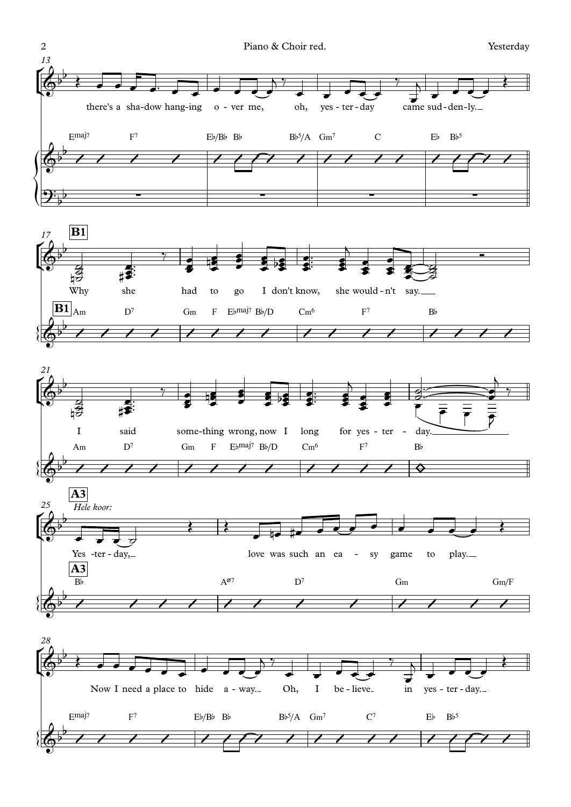